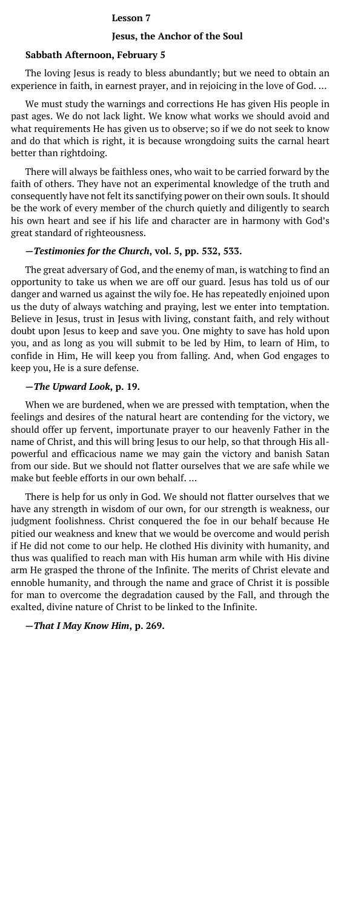#### **Lesson 7**

#### **Jesus, the Anchor of the Soul**

# **Sabbath Afternoon, February 5**

The loving Jesus is ready to bless abundantly; but we need to obtain an experience in faith, in earnest prayer, and in rejoicing in the love of God. …

We must study the warnings and corrections He has given His people in past ages. We do not lack light. We know what works we should avoid and what requirements He has given us to observe; so if we do not seek to know and do that which is right, it is because wrongdoing suits the carnal heart better than rightdoing.

There will always be faithless ones, who wait to be carried forward by the faith of others. They have not an experimental knowledge of the truth and consequently have not felt its sanctifying power on their own souls. It should be the work of every member of the church quietly and diligently to search his own heart and see if his life and character are in harmony with God's great standard of righteousness.

# **—***Testimonies for the Church***, vol. 5, pp. 532, 533.**

The great adversary of God, and the enemy of man, is watching to find an opportunity to take us when we are off our guard. Jesus has told us of our danger and warned us against the wily foe. He has repeatedly enjoined upon us the duty of always watching and praying, lest we enter into temptation. Believe in Jesus, trust in Jesus with living, constant faith, and rely without doubt upon Jesus to keep and save you. One mighty to save has hold upon you, and as long as you will submit to be led by Him, to learn of Him, to confide in Him, He will keep you from falling. And, when God engages to keep you, He is a sure defense.

# **—***The Upward Look***, p. 19.**

When we are burdened, when we are pressed with temptation, when the feelings and desires of the natural heart are contending for the victory, we should offer up fervent, importunate prayer to our heavenly Father in the name of Christ, and this will bring Jesus to our help, so that through His allpowerful and efficacious name we may gain the victory and banish Satan from our side. But we should not flatter ourselves that we are safe while we make but feeble efforts in our own behalf. …

There is help for us only in God. We should not flatter ourselves that we have any strength in wisdom of our own, for our strength is weakness, our judgment foolishness. Christ conquered the foe in our behalf because He pitied our weakness and knew that we would be overcome and would perish if He did not come to our help. He clothed His divinity with humanity, and thus was qualified to reach man with His human arm while with His divine arm He grasped the throne of the Infinite. The merits of Christ elevate and ennoble humanity, and through the name and grace of Christ it is possible for man to overcome the degradation caused by the Fall, and through the exalted, divine nature of Christ to be linked to the Infinite.

**—***That I May Know Him***, p. 269.**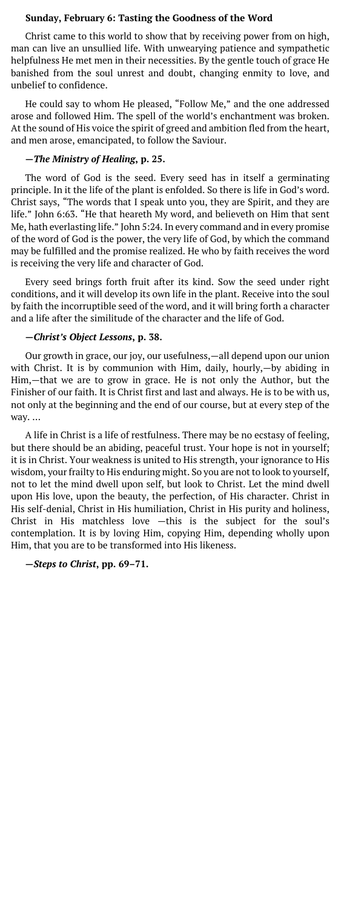#### **Sunday, February 6: Tasting the Goodness of the Word**

Christ came to this world to show that by receiving power from on high, man can live an unsullied life. With unwearying patience and sympathetic helpfulness He met men in their necessities. By the gentle touch of grace He banished from the soul unrest and doubt, changing enmity to love, and unbelief to confidence.

He could say to whom He pleased, "Follow Me," and the one addressed arose and followed Him. The spell of the world's enchantment was broken. At the sound of His voice the spirit of greed and ambition fled from the heart, and men arose, emancipated, to follow the Saviour.

# **—***The Ministry of Healing***, p. 25.**

The word of God is the seed. Every seed has in itself a germinating principle. In it the life of the plant is enfolded. So there is life in God's word. Christ says, "The words that I speak unto you, they are Spirit, and they are life." John 6:63. "He that heareth My word, and believeth on Him that sent Me, hath everlasting life." John 5:24. In every command and in every promise of the word of God is the power, the very life of God, by which the command may be fulfilled and the promise realized. He who by faith receives the word is receiving the very life and character of God.

Every seed brings forth fruit after its kind. Sow the seed under right conditions, and it will develop its own life in the plant. Receive into the soul by faith the incorruptible seed of the word, and it will bring forth a character and a life after the similitude of the character and the life of God.

#### **—***Christ's Object Lessons***, p. 38.**

Our growth in grace, our joy, our usefulness,—all depend upon our union with Christ. It is by communion with Him, daily, hourly,—by abiding in Him,—that we are to grow in grace. He is not only the Author, but the Finisher of our faith. It is Christ first and last and always. He is to be with us, not only at the beginning and the end of our course, but at every step of the way. …

A life in Christ is a life of restfulness. There may be no ecstasy of feeling, but there should be an abiding, peaceful trust. Your hope is not in yourself; it is in Christ. Your weakness is united to His strength, your ignorance to His wisdom, your frailty to His enduring might. So you are not to look to yourself, not to let the mind dwell upon self, but look to Christ. Let the mind dwell upon His love, upon the beauty, the perfection, of His character. Christ in His self-denial, Christ in His humiliation, Christ in His purity and holiness, Christ in His matchless love —this is the subject for the soul's contemplation. It is by loving Him, copying Him, depending wholly upon Him, that you are to be transformed into His likeness.

## **—***Steps to Christ***, pp. 69–71.**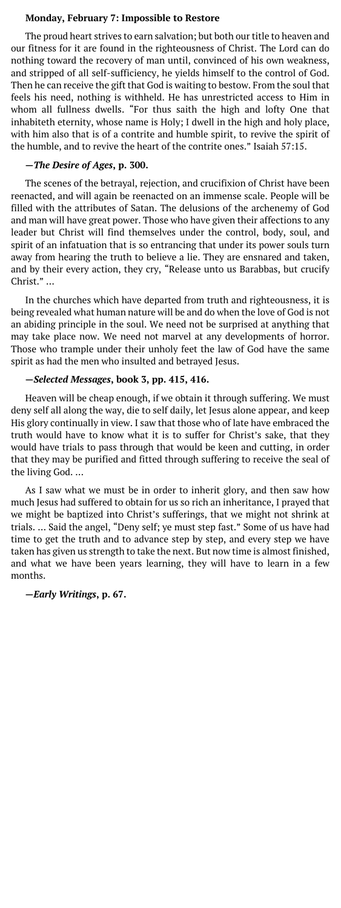#### **Monday, February 7: Impossible to Restore**

The proud heart strives to earn salvation; but both our title to heaven and our fitness for it are found in the righteousness of Christ. The Lord can do nothing toward the recovery of man until, convinced of his own weakness, and stripped of all self-sufficiency, he yields himself to the control of God. Then he can receive the gift that God is waiting to bestow. From the soul that feels his need, nothing is withheld. He has unrestricted access to Him in whom all fullness dwells. "For thus saith the high and lofty One that inhabiteth eternity, whose name is Holy; I dwell in the high and holy place, with him also that is of a contrite and humble spirit, to revive the spirit of the humble, and to revive the heart of the contrite ones." Isaiah 57:15.

#### **—***The Desire of Ages***, p. 300.**

The scenes of the betrayal, rejection, and crucifixion of Christ have been reenacted, and will again be reenacted on an immense scale. People will be filled with the attributes of Satan. The delusions of the archenemy of God and man will have great power. Those who have given their affections to any leader but Christ will find themselves under the control, body, soul, and spirit of an infatuation that is so entrancing that under its power souls turn away from hearing the truth to believe a lie. They are ensnared and taken, and by their every action, they cry, "Release unto us Barabbas, but crucify Christ." …

In the churches which have departed from truth and righteousness, it is being revealed what human nature will be and do when the love of God is not an abiding principle in the soul. We need not be surprised at anything that may take place now. We need not marvel at any developments of horror. Those who trample under their unholy feet the law of God have the same spirit as had the men who insulted and betrayed Jesus.

# **—***Selected Messages***, book 3, pp. 415, 416.**

Heaven will be cheap enough, if we obtain it through suffering. We must deny self all along the way, die to self daily, let Jesus alone appear, and keep His glory continually in view. I saw that those who of late have embraced the truth would have to know what it is to suffer for Christ's sake, that they would have trials to pass through that would be keen and cutting, in order that they may be purified and fitted through suffering to receive the seal of the living God. …

As I saw what we must be in order to inherit glory, and then saw how much Jesus had suffered to obtain for us so rich an inheritance, I prayed that we might be baptized into Christ's sufferings, that we might not shrink at trials. … Said the angel, "Deny self; ye must step fast." Some of us have had time to get the truth and to advance step by step, and every step we have taken has given us strength to take the next. But now time is almost finished, and what we have been years learning, they will have to learn in a few months.

**—***Early Writings***, p. 67.**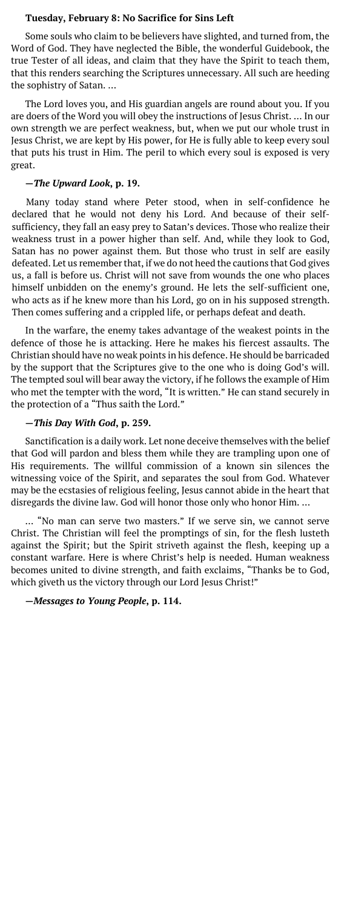#### **Tuesday, February 8: No Sacrifice for Sins Left**

Some souls who claim to be believers have slighted, and turned from, the Word of God. They have neglected the Bible, the wonderful Guidebook, the true Tester of all ideas, and claim that they have the Spirit to teach them, that this renders searching the Scriptures unnecessary. All such are heeding the sophistry of Satan. …

The Lord loves you, and His guardian angels are round about you. If you are doers of the Word you will obey the instructions of Jesus Christ. … In our own strength we are perfect weakness, but, when we put our whole trust in Jesus Christ, we are kept by His power, for He is fully able to keep every soul that puts his trust in Him. The peril to which every soul is exposed is very great.

#### **—***The Upward Look***, p. 19.**

Many today stand where Peter stood, when in self-confidence he declared that he would not deny his Lord. And because of their selfsufficiency, they fall an easy prey to Satan's devices. Those who realize their weakness trust in a power higher than self. And, while they look to God, Satan has no power against them. But those who trust in self are easily defeated. Let us remember that, if we do not heed the cautions that God gives us, a fall is before us. Christ will not save from wounds the one who places himself unbidden on the enemy's ground. He lets the self-sufficient one, who acts as if he knew more than his Lord, go on in his supposed strength. Then comes suffering and a crippled life, or perhaps defeat and death.

… "No man can serve two masters." If we serve sin, we cannot serve Christ. The Christian will feel the promptings of sin, for the flesh lusteth against the Spirit; but the Spirit striveth against the flesh, keeping up a constant warfare. Here is where Christ's help is needed. Human weakness becomes united to divine strength, and faith exclaims, "Thanks be to God, which giveth us the victory through our Lord Jesus Christ!"

In the warfare, the enemy takes advantage of the weakest points in the defence of those he is attacking. Here he makes his fiercest assaults. The Christian should have no weak points in his defence. He should be barricaded by the support that the Scriptures give to the one who is doing God's will. The tempted soul will bear away the victory, if he follows the example of Him who met the tempter with the word, "It is written." He can stand securely in the protection of a "Thus saith the Lord."

# **—***This Day With God***, p. 259.**

Sanctification is a daily work. Let none deceive themselves with the belief that God will pardon and bless them while they are trampling upon one of His requirements. The willful commission of a known sin silences the witnessing voice of the Spirit, and separates the soul from God. Whatever may be the ecstasies of religious feeling, Jesus cannot abide in the heart that disregards the divine law. God will honor those only who honor Him. …

**—***Messages to Young People***, p. 114.**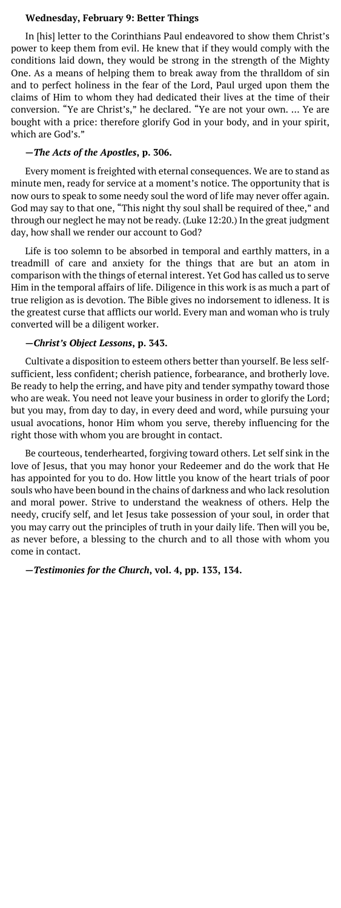#### **Wednesday, February 9: Better Things**

In [his] letter to the Corinthians Paul endeavored to show them Christ's power to keep them from evil. He knew that if they would comply with the conditions laid down, they would be strong in the strength of the Mighty One. As a means of helping them to break away from the thralldom of sin and to perfect holiness in the fear of the Lord, Paul urged upon them the claims of Him to whom they had dedicated their lives at the time of their conversion. "Ye are Christ's," he declared. "Ye are not your own. … Ye are bought with a price: therefore glorify God in your body, and in your spirit, which are God's."

## **—***The Acts of the Apostles***, p. 306.**

Every moment is freighted with eternal consequences. We are to stand as minute men, ready for service at a moment's notice. The opportunity that is now ours to speak to some needy soul the word of life may never offer again. God may say to that one, "This night thy soul shall be required of thee," and through our neglect he may not be ready. (Luke 12:20.) In the great judgment day, how shall we render our account to God?

Life is too solemn to be absorbed in temporal and earthly matters, in a treadmill of care and anxiety for the things that are but an atom in comparison with the things of eternal interest. Yet God has called us to serve Him in the temporal affairs of life. Diligence in this work is as much a part of true religion as is devotion. The Bible gives no indorsement to idleness. It is the greatest curse that afflicts our world. Every man and woman who is truly converted will be a diligent worker.

#### **—***Christ's Object Lessons***, p. 343.**

Cultivate a disposition to esteem others better than yourself. Be less selfsufficient, less confident; cherish patience, forbearance, and brotherly love. Be ready to help the erring, and have pity and tender sympathy toward those who are weak. You need not leave your business in order to glorify the Lord; but you may, from day to day, in every deed and word, while pursuing your usual avocations, honor Him whom you serve, thereby influencing for the right those with whom you are brought in contact.

Be courteous, tenderhearted, forgiving toward others. Let self sink in the love of Jesus, that you may honor your Redeemer and do the work that He has appointed for you to do. How little you know of the heart trials of poor souls who have been bound in the chains of darkness and who lack resolution and moral power. Strive to understand the weakness of others. Help the needy, crucify self, and let Jesus take possession of your soul, in order that you may carry out the principles of truth in your daily life. Then will you be, as never before, a blessing to the church and to all those with whom you come in contact.

**—***Testimonies for the Church***, vol. 4, pp. 133, 134.**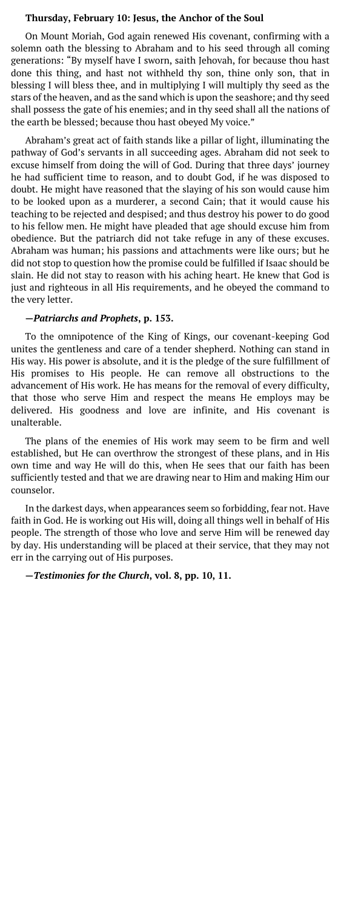#### **Thursday, February 10: Jesus, the Anchor of the Soul**

On Mount Moriah, God again renewed His covenant, confirming with a solemn oath the blessing to Abraham and to his seed through all coming generations: "By myself have I sworn, saith Jehovah, for because thou hast done this thing, and hast not withheld thy son, thine only son, that in blessing I will bless thee, and in multiplying I will multiply thy seed as the stars of the heaven, and as the sand which is upon the seashore; and thy seed shall possess the gate of his enemies; and in thy seed shall all the nations of the earth be blessed; because thou hast obeyed My voice."

Abraham's great act of faith stands like a pillar of light, illuminating the pathway of God's servants in all succeeding ages. Abraham did not seek to excuse himself from doing the will of God. During that three days' journey he had sufficient time to reason, and to doubt God, if he was disposed to doubt. He might have reasoned that the slaying of his son would cause him to be looked upon as a murderer, a second Cain; that it would cause his teaching to be rejected and despised; and thus destroy his power to do good to his fellow men. He might have pleaded that age should excuse him from obedience. But the patriarch did not take refuge in any of these excuses. Abraham was human; his passions and attachments were like ours; but he did not stop to question how the promise could be fulfilled if Isaac should be slain. He did not stay to reason with his aching heart. He knew that God is just and righteous in all His requirements, and he obeyed the command to the very letter.

#### **—***Patriarchs and Prophets***, p. 153.**

To the omnipotence of the King of Kings, our covenant-keeping God unites the gentleness and care of a tender shepherd. Nothing can stand in His way. His power is absolute, and it is the pledge of the sure fulfillment of His promises to His people. He can remove all obstructions to the advancement of His work. He has means for the removal of every difficulty, that those who serve Him and respect the means He employs may be delivered. His goodness and love are infinite, and His covenant is unalterable.

The plans of the enemies of His work may seem to be firm and well established, but He can overthrow the strongest of these plans, and in His own time and way He will do this, when He sees that our faith has been sufficiently tested and that we are drawing near to Him and making Him our counselor.

In the darkest days, when appearances seem so forbidding, fear not. Have faith in God. He is working out His will, doing all things well in behalf of His people. The strength of those who love and serve Him will be renewed day by day. His understanding will be placed at their service, that they may not err in the carrying out of His purposes.

#### **—***Testimonies for the Church***, vol. 8, pp. 10, 11.**